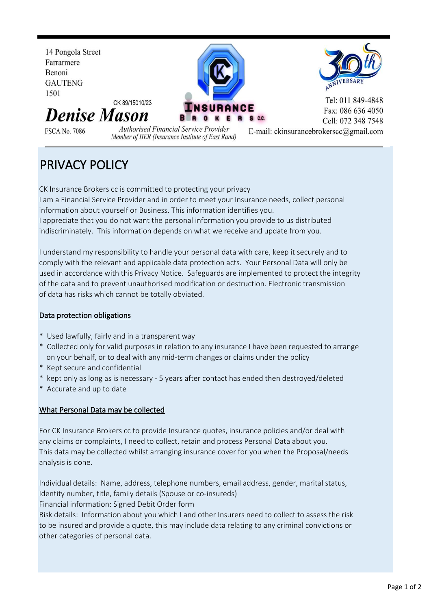

# PRIVACY POLICY

CK Insurance Brokers cc is committed to protecting your privacy I am a Financial Service Provider and in order to meet your Insurance needs, collect personal information about yourself or Business. This information identifies you.

I appreciate that you do not want the personal information you provide to us distributed indiscriminately. This information depends on what we receive and update from you.

I understand my responsibility to handle your personal data with care, keep it securely and to comply with the relevant and applicable data protection acts. Your Personal Data will only be used in accordance with this Privacy Notice. Safeguards are implemented to protect the integrity of the data and to prevent unauthorised modification or destruction. Electronic transmission of data has risks which cannot be totally obviated.

# Data protection obligations

- \* Used lawfully, fairly and in a transparent way
- \* Collected only for valid purposes in relation to any insurance I have been requested to arrange on your behalf, or to deal with any mid-term changes or claims under the policy
- \* Kept secure and confidential
- kept only as long as is necessary 5 years after contact has ended then destroyed/deleted
- \* Accurate and up to date

# What Personal Data may be collected

For CK Insurance Brokers cc to provide Insurance quotes, insurance policies and/or deal with any claims or complaints, I need to collect, retain and process Personal Data about you. This data may be collected whilst arranging insurance cover for you when the Proposal/needs analysis is done.

Individual details: Name, address, telephone numbers, email address, gender, marital status, Identity number, title, family details (Spouse or co-insureds) Financial information: Signed Debit Order form

Risk details: Information about you which I and other Insurers need to collect to assess the risk to be insured and provide a quote, this may include data relating to any criminal convictions or other categories of personal data.